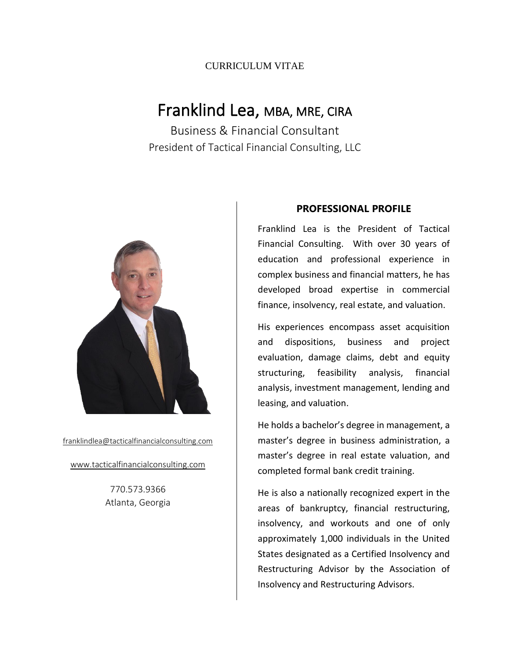# Franklind Lea, MBA, MRE, CIRA

Business & Financial Consultant President of Tactical Financial Consulting, LLC



[franklindlea@tacticalfinancialconsulting.com](mailto:franklindlea@tacticalfinancialconsulting.com)

[www.tacticalfinancialconsulting.com](http://www.tacticalfinancialconsulting.com/)

770.573.9366 Atlanta, Georgia

#### **PROFESSIONAL PROFILE**

Franklind Lea is the President of Tactical Financial Consulting. With over 30 years of education and professional experience in complex business and financial matters, he has developed broad expertise in commercial finance, insolvency, real estate, and valuation.

His experiences encompass asset acquisition and dispositions, business and project evaluation, damage claims, debt and equity structuring, feasibility analysis, financial analysis, investment management, lending and leasing, and valuation.

He holds a bachelor's degree in management, a master's degree in business administration, a master's degree in real estate valuation, and completed formal bank credit training.

He is also a nationally recognized expert in the areas of bankruptcy, financial restructuring, insolvency, and workouts and one of only approximately 1,000 individuals in the United States designated as a Certified Insolvency and Restructuring Advisor by the Association of Insolvency and Restructuring Advisors.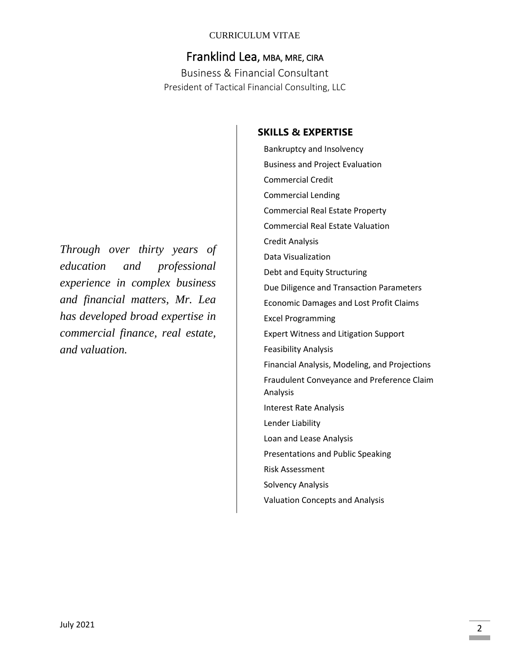# Franklind Lea, MBA, MRE, CIRA

Business & Financial Consultant President of Tactical Financial Consulting, LLC

*Through over thirty years of education and professional experience in complex business and financial matters, Mr. Lea has developed broad expertise in commercial finance, real estate, and valuation.*

### **SKILLS & EXPERTISE**

Bankruptcy and Insolvency Business and Project Evaluation Commercial Credit Commercial Lending Commercial Real Estate Property Commercial Real Estate Valuation Credit Analysis Data Visualization Debt and Equity Structuring Due Diligence and Transaction Parameters Economic Damages and Lost Profit Claims Excel Programming Expert Witness and Litigation Support Feasibility Analysis Financial Analysis, Modeling, and Projections Fraudulent Conveyance and Preference Claim Analysis Interest Rate Analysis Lender Liability Loan and Lease Analysis Presentations and Public Speaking Risk Assessment Solvency Analysis Valuation Concepts and Analysis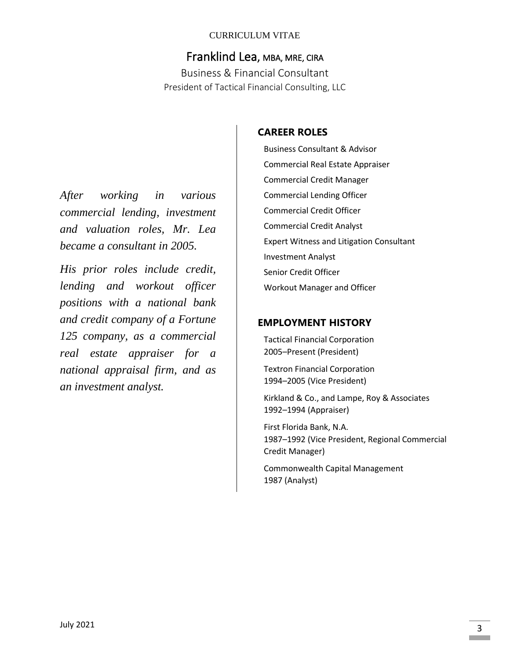# Franklind Lea, MBA, MRE, CIRA

Business & Financial Consultant President of Tactical Financial Consulting, LLC

*After working in various commercial lending, investment and valuation roles, Mr. Lea became a consultant in 2005.*

*His prior roles include credit, lending and workout officer positions with a national bank and credit company of a Fortune 125 company, as a commercial real estate appraiser for a national appraisal firm, and as an investment analyst.*

### **CAREER ROLES**

Business Consultant & Advisor Commercial Real Estate Appraiser Commercial Credit Manager Commercial Lending Officer Commercial Credit Officer Commercial Credit Analyst Expert Witness and Litigation Consultant Investment Analyst Senior Credit Officer Workout Manager and Officer

### **EMPLOYMENT HISTORY**

Tactical Financial Corporation 2005–Present (President)

Textron Financial Corporation 1994–2005 (Vice President)

Kirkland & Co., and Lampe, Roy & Associates 1992–1994 (Appraiser)

First Florida Bank, N.A. 1987–1992 (Vice President, Regional Commercial Credit Manager)

Commonwealth Capital Management 1987 (Analyst)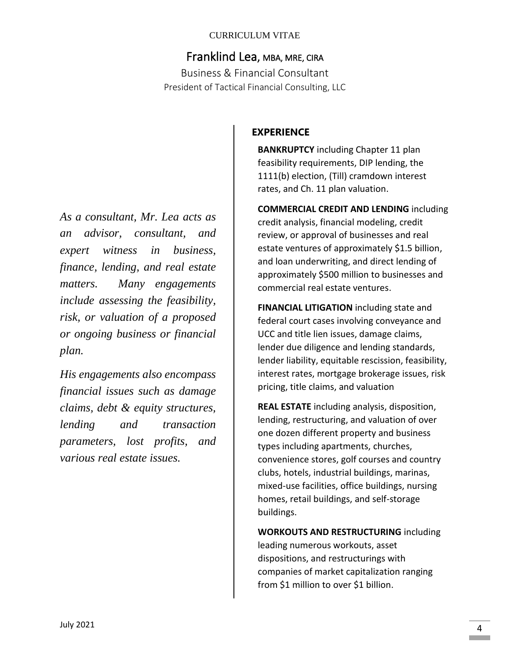# Franklind Lea, MBA, MRE, CIRA

Business & Financial Consultant President of Tactical Financial Consulting, LLC

*As a consultant, Mr. Lea acts as an advisor, consultant, and expert witness in business, finance, lending, and real estate matters. Many engagements include assessing the feasibility, risk, or valuation of a proposed or ongoing business or financial plan.* 

*His engagements also encompass financial issues such as damage claims, debt & equity structures, lending and transaction parameters, lost profits, and various real estate issues.*

### **EXPERIENCE**

**BANKRUPTCY** including Chapter 11 plan feasibility requirements, DIP lending, the 1111(b) election, (Till) cramdown interest rates, and Ch. 11 plan valuation.

**COMMERCIAL CREDIT AND LENDING** including credit analysis, financial modeling, credit review, or approval of businesses and real estate ventures of approximately \$1.5 billion, and loan underwriting, and direct lending of approximately \$500 million to businesses and commercial real estate ventures.

**FINANCIAL LITIGATION** including state and federal court cases involving conveyance and UCC and title lien issues, damage claims, lender due diligence and lending standards, lender liability, equitable rescission, feasibility, interest rates, mortgage brokerage issues, risk pricing, title claims, and valuation

**REAL ESTATE** including analysis, disposition, lending, restructuring, and valuation of over one dozen different property and business types including apartments, churches, convenience stores, golf courses and country clubs, hotels, industrial buildings, marinas, mixed-use facilities, office buildings, nursing homes, retail buildings, and self-storage buildings.

**WORKOUTS AND RESTRUCTURING** including leading numerous workouts, asset dispositions, and restructurings with companies of market capitalization ranging from \$1 million to over \$1 billion.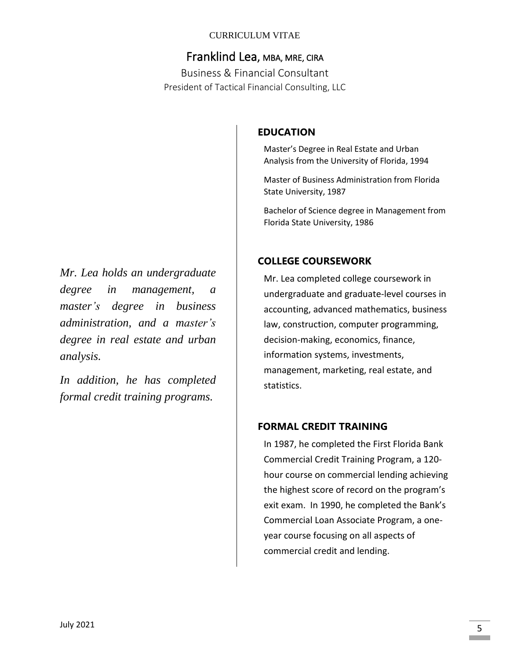# Franklind Lea, MBA, MRE, CIRA

Business & Financial Consultant President of Tactical Financial Consulting, LLC

*Mr. Lea holds an undergraduate degree in management, a master's degree in business administration, and a master's degree in real estate and urban analysis.*

*In addition, he has completed formal credit training programs.*

### **EDUCATION**

Master's Degree in Real Estate and Urban Analysis from the University of Florida, 1994

Master of Business Administration from Florida State University, 1987

Bachelor of Science degree in Management from Florida State University, 1986

### **COLLEGE COURSEWORK**

Mr. Lea completed college coursework in undergraduate and graduate-level courses in accounting, advanced mathematics, business law, construction, computer programming, decision-making, economics, finance, information systems, investments, management, marketing, real estate, and statistics.

#### **FORMAL CREDIT TRAINING**

In 1987, he completed the First Florida Bank Commercial Credit Training Program, a 120 hour course on commercial lending achieving the highest score of record on the program's exit exam. In 1990, he completed the Bank's Commercial Loan Associate Program, a oneyear course focusing on all aspects of commercial credit and lending.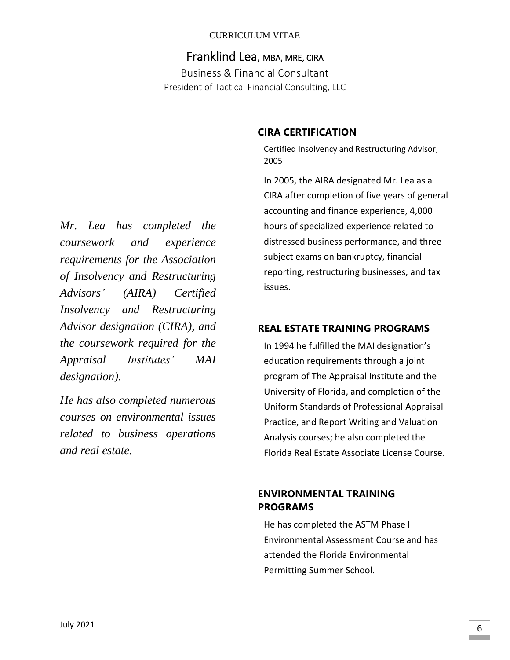# Franklind Lea, MBA, MRE, CIRA

Business & Financial Consultant President of Tactical Financial Consulting, LLC

*Mr. Lea has completed the coursework and experience requirements for the Association of Insolvency and Restructuring Advisors' (AIRA) Certified Insolvency and Restructuring Advisor designation (CIRA), and the coursework required for the Appraisal Institutes' MAI designation).*

*He has also completed numerous courses on environmental issues related to business operations and real estate.*

### **CIRA CERTIFICATION**

Certified Insolvency and Restructuring Advisor, 2005

In 2005, the AIRA designated Mr. Lea as a CIRA after completion of five years of general accounting and finance experience, 4,000 hours of specialized experience related to distressed business performance, and three subject exams on bankruptcy, financial reporting, restructuring businesses, and tax issues.

### **REAL ESTATE TRAINING PROGRAMS**

In 1994 he fulfilled the MAI designation's education requirements through a joint program of The Appraisal Institute and the University of Florida, and completion of the Uniform Standards of Professional Appraisal Practice, and Report Writing and Valuation Analysis courses; he also completed the Florida Real Estate Associate License Course.

### **ENVIRONMENTAL TRAINING PROGRAMS**

He has completed the ASTM Phase I Environmental Assessment Course and has attended the Florida Environmental Permitting Summer School.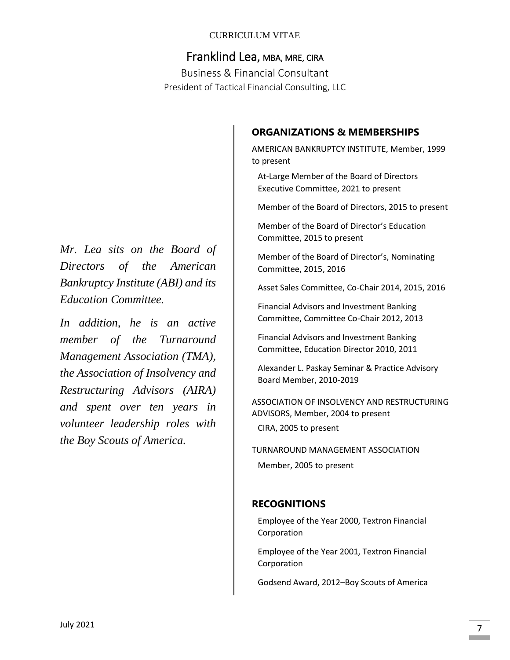# Franklind Lea, MBA, MRE, CIRA

Business & Financial Consultant President of Tactical Financial Consulting, LLC

# to present

At-Large Member of the Board of Directors Executive Committee, 2021 to present

**ORGANIZATIONS & MEMBERSHIPS**

Member of the Board of Directors, 2015 to present

AMERICAN BANKRUPTCY INSTITUTE, Member, 1999

Member of the Board of Director's Education Committee, 2015 to present

Member of the Board of Director's, Nominating Committee, 2015, 2016

Asset Sales Committee, Co-Chair 2014, 2015, 2016

Financial Advisors and Investment Banking Committee, Committee Co-Chair 2012, 2013

Financial Advisors and Investment Banking Committee, Education Director 2010, 2011

Alexander L. Paskay Seminar & Practice Advisory Board Member, 2010-2019

ASSOCIATION OF INSOLVENCY AND RESTRUCTURING ADVISORS, Member, 2004 to present CIRA, 2005 to present

TURNAROUND MANAGEMENT ASSOCIATION Member, 2005 to present

### **RECOGNITIONS**

Employee of the Year 2000, Textron Financial Corporation

Employee of the Year 2001, Textron Financial Corporation

Godsend Award, 2012–Boy Scouts of America

*Mr. Lea sits on the Board of Directors of the American Bankruptcy Institute (ABI) and its Education Committee.*

*In addition, he is an active member of the Turnaround Management Association (TMA), the Association of Insolvency and Restructuring Advisors (AIRA) and spent over ten years in volunteer leadership roles with the Boy Scouts of America.*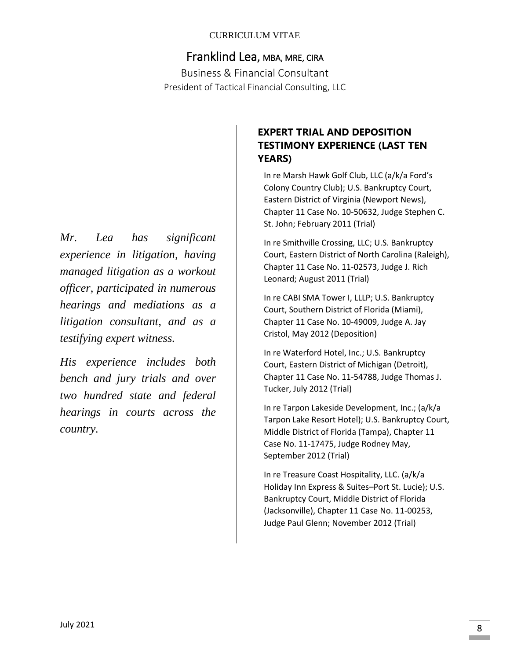# Franklind Lea, MBA, MRE, CIRA

Business & Financial Consultant President of Tactical Financial Consulting, LLC

*Mr. Lea has significant experience in litigation, having managed litigation as a workout officer, participated in numerous hearings and mediations as a litigation consultant, and as a testifying expert witness.* 

*His experience includes both bench and jury trials and over two hundred state and federal hearings in courts across the country.*

# **EXPERT TRIAL AND DEPOSITION TESTIMONY EXPERIENCE (LAST TEN YEARS)**

In re Marsh Hawk Golf Club, LLC (a/k/a Ford's Colony Country Club); U.S. Bankruptcy Court, Eastern District of Virginia (Newport News), Chapter 11 Case No. 10-50632, Judge Stephen C. St. John; February 2011 (Trial)

In re Smithville Crossing, LLC; U.S. Bankruptcy Court, Eastern District of North Carolina (Raleigh), Chapter 11 Case No. 11-02573, Judge J. Rich Leonard; August 2011 (Trial)

In re CABI SMA Tower I, LLLP; U.S. Bankruptcy Court, Southern District of Florida (Miami), Chapter 11 Case No. 10-49009, Judge A. Jay Cristol, May 2012 (Deposition)

In re Waterford Hotel, Inc.; U.S. Bankruptcy Court, Eastern District of Michigan (Detroit), Chapter 11 Case No. 11-54788, Judge Thomas J. Tucker, July 2012 (Trial)

In re Tarpon Lakeside Development, Inc.; (a/k/a Tarpon Lake Resort Hotel); U.S. Bankruptcy Court, Middle District of Florida (Tampa), Chapter 11 Case No. 11-17475, Judge Rodney May, September 2012 (Trial)

In re Treasure Coast Hospitality, LLC. (a/k/a Holiday Inn Express & Suites–Port St. Lucie); U.S. Bankruptcy Court, Middle District of Florida (Jacksonville), Chapter 11 Case No. 11-00253, Judge Paul Glenn; November 2012 (Trial)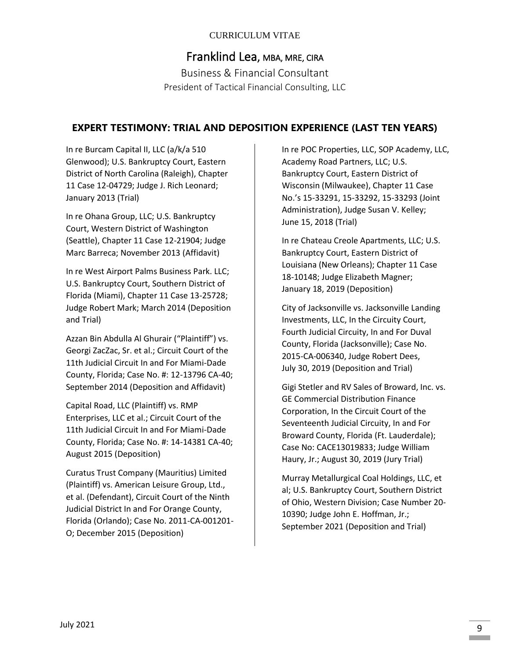# Franklind Lea, MBA, MRE, CIRA Business & Financial Consultant President of Tactical Financial Consulting, LLC

#### **EXPERT TESTIMONY: TRIAL AND DEPOSITION EXPERIENCE (LAST TEN YEARS)**

In re Burcam Capital II, LLC (a/k/a 510 Glenwood); U.S. Bankruptcy Court, Eastern District of North Carolina (Raleigh), Chapter 11 Case 12-04729; Judge J. Rich Leonard; January 2013 (Trial)

In re Ohana Group, LLC; U.S. Bankruptcy Court, Western District of Washington (Seattle), Chapter 11 Case 12-21904; Judge Marc Barreca; November 2013 (Affidavit)

In re West Airport Palms Business Park. LLC; U.S. Bankruptcy Court, Southern District of Florida (Miami), Chapter 11 Case 13-25728; Judge Robert Mark; March 2014 (Deposition and Trial)

Azzan Bin Abdulla Al Ghurair ("Plaintiff") vs. Georgi ZacZac, Sr. et al.; Circuit Court of the 11th Judicial Circuit In and For Miami-Dade County, Florida; Case No. #: 12-13796 CA-40; September 2014 (Deposition and Affidavit)

Capital Road, LLC (Plaintiff) vs. RMP Enterprises, LLC et al.; Circuit Court of the 11th Judicial Circuit In and For Miami-Dade County, Florida; Case No. #: 14-14381 CA-40; August 2015 (Deposition)

Curatus Trust Company (Mauritius) Limited (Plaintiff) vs. American Leisure Group, Ltd., et al. (Defendant), Circuit Court of the Ninth Judicial District In and For Orange County, Florida (Orlando); Case No. 2011-CA-001201- O; December 2015 (Deposition)

In re POC Properties, LLC, SOP Academy, LLC, Academy Road Partners, LLC; U.S. Bankruptcy Court, Eastern District of Wisconsin (Milwaukee), Chapter 11 Case No.'s 15-33291, 15-33292, 15-33293 (Joint Administration), Judge Susan V. Kelley; June 15, 2018 (Trial)

In re Chateau Creole Apartments, LLC; U.S. Bankruptcy Court, Eastern District of Louisiana (New Orleans); Chapter 11 Case 18-10148; Judge Elizabeth Magner; January 18, 2019 (Deposition)

City of Jacksonville vs. Jacksonville Landing Investments, LLC, In the Circuity Court, Fourth Judicial Circuity, In and For Duval County, Florida (Jacksonville); Case No. 2015-CA-006340, Judge Robert Dees, July 30, 2019 (Deposition and Trial)

Gigi Stetler and RV Sales of Broward, Inc. vs. GE Commercial Distribution Finance Corporation, In the Circuit Court of the Seventeenth Judicial Circuity, In and For Broward County, Florida (Ft. Lauderdale); Case No: CACE13019833; Judge William Haury, Jr.; August 30, 2019 (Jury Trial)

Murray Metallurgical Coal Holdings, LLC, et al; U.S. Bankruptcy Court, Southern District of Ohio, Western Division; Case Number 20- 10390; Judge John E. Hoffman, Jr.; September 2021 (Deposition and Trial)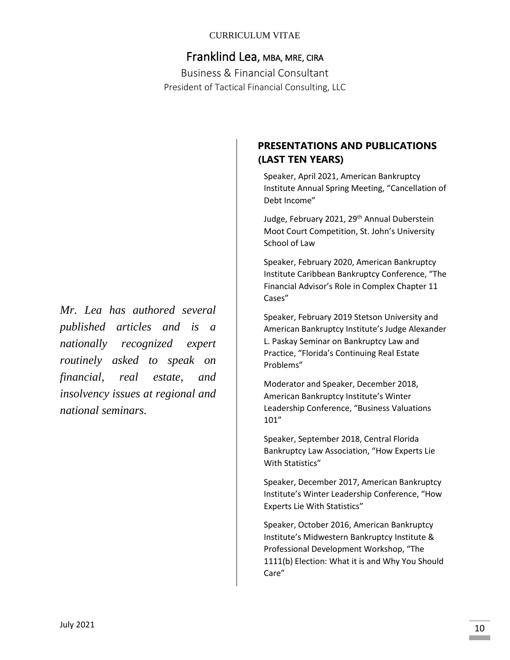# Franklind Lea, MBA, MRE, CIRA

Business & Financial Consultant President of Tactical Financial Consulting, LLC

## **PRESENTATIONS AND PUBLICATIONS (LAST TEN YEARS)**

Speaker, April 2021, American Bankruptcy Institute Annual Spring Meeting, "Cancellation of Debt Income"

Judge, February 2021, 29<sup>th</sup> Annual Duberstein Moot Court Competition, St. John's University School of Law

Speaker, February 2020, American Bankruptcy Institute Caribbean Bankruptcy Conference, "The Financial Advisor's Role in Complex Chapter 11 Cases"

Speaker, February 2019 Stetson University and American Bankruptcy Institute's Judge Alexander L. Paskay Seminar on Bankruptcy Law and Practice, "Florida's Continuing Real Estate Problems"

Moderator and Speaker, December 2018, American Bankruptcy Institute's Winter Leadership Conference, "Business Valuations 101"

Speaker, September 2018, Central Florida Bankruptcy Law Association, "How Experts Lie With Statistics"

Speaker, December 2017, American Bankruptcy Institute's Winter Leadership Conference, "How Experts Lie With Statistics"

Speaker, October 2016, American Bankruptcy Institute's Midwestern Bankruptcy Institute & Professional Development Workshop, "The 1111(b) Election: What it is and Why You Should Care"

*Mr. Lea has authored several published articles and is a nationally recognized expert routinely asked to speak on financial, real estate, and insolvency issues at regional and national seminars.*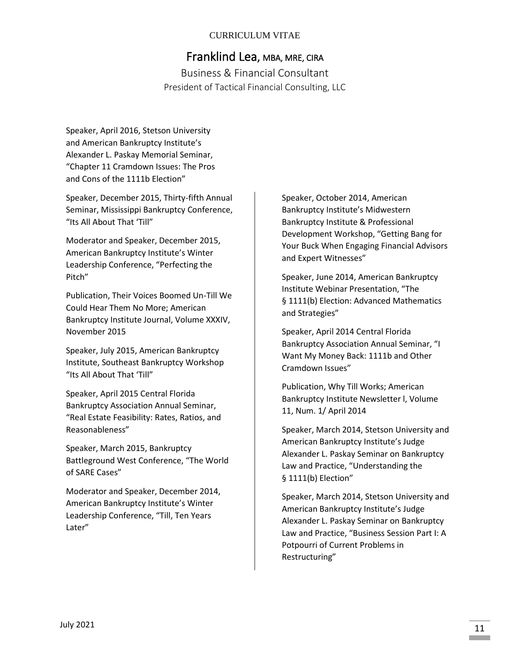# Franklind Lea, MBA, MRE, CIRA

Business & Financial Consultant President of Tactical Financial Consulting, LLC

Speaker, April 2016, Stetson University and American Bankruptcy Institute's Alexander L. Paskay Memorial Seminar, "Chapter 11 Cramdown Issues: The Pros and Cons of the 1111b Election"

Speaker, December 2015, Thirty-fifth Annual Seminar, Mississippi Bankruptcy Conference, "Its All About That 'Till"

Moderator and Speaker, December 2015, American Bankruptcy Institute's Winter Leadership Conference, "Perfecting the Pitch"

Publication, Their Voices Boomed Un-Till We Could Hear Them No More; American Bankruptcy Institute Journal, Volume XXXIV, November 2015

Speaker, July 2015, American Bankruptcy Institute, Southeast Bankruptcy Workshop "Its All About That 'Till"

Speaker, April 2015 Central Florida Bankruptcy Association Annual Seminar, "Real Estate Feasibility: Rates, Ratios, and Reasonableness"

Speaker, March 2015, Bankruptcy Battleground West Conference, "The World of SARE Cases"

Moderator and Speaker, December 2014, American Bankruptcy Institute's Winter Leadership Conference, "Till, Ten Years Later"

Speaker, October 2014, American Bankruptcy Institute's Midwestern Bankruptcy Institute & Professional Development Workshop, "Getting Bang for Your Buck When Engaging Financial Advisors and Expert Witnesses"

Speaker, June 2014, American Bankruptcy Institute Webinar Presentation, "The § 1111(b) Election: Advanced Mathematics and Strategies"

Speaker, April 2014 Central Florida Bankruptcy Association Annual Seminar, "I Want My Money Back: 1111b and Other Cramdown Issues"

Publication, Why Till Works; American Bankruptcy Institute Newsletter l, Volume 11, Num. 1/ April 2014

Speaker, March 2014, Stetson University and American Bankruptcy Institute's Judge Alexander L. Paskay Seminar on Bankruptcy Law and Practice, "Understanding the § 1111(b) Election"

Speaker, March 2014, Stetson University and American Bankruptcy Institute's Judge Alexander L. Paskay Seminar on Bankruptcy Law and Practice, "Business Session Part I: A Potpourri of Current Problems in Restructuring"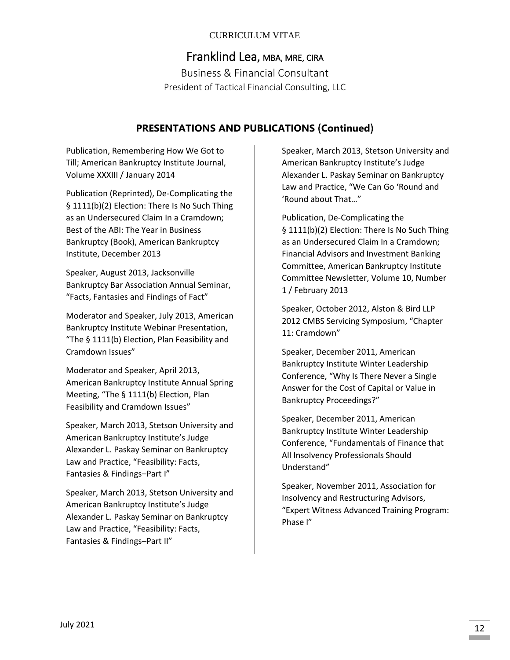Franklind Lea, MBA, MRE, CIRA Business & Financial Consultant

President of Tactical Financial Consulting, LLC

### **PRESENTATIONS AND PUBLICATIONS** (**Continued**)

Publication, Remembering How We Got to Till; American Bankruptcy Institute Journal, Volume XXXIII / January 2014

Publication (Reprinted), De-Complicating the § 1111(b)(2) Election: There Is No Such Thing as an Undersecured Claim In a Cramdown; Best of the ABI: The Year in Business Bankruptcy (Book), American Bankruptcy Institute, December 2013

Speaker, August 2013, Jacksonville Bankruptcy Bar Association Annual Seminar, "Facts, Fantasies and Findings of Fact"

Moderator and Speaker, July 2013, American Bankruptcy Institute Webinar Presentation, "The § 1111(b) Election, Plan Feasibility and Cramdown Issues"

Moderator and Speaker, April 2013, American Bankruptcy Institute Annual Spring Meeting, "The § 1111(b) Election, Plan Feasibility and Cramdown Issues"

Speaker, March 2013, Stetson University and American Bankruptcy Institute's Judge Alexander L. Paskay Seminar on Bankruptcy Law and Practice, "Feasibility: Facts, Fantasies & Findings–Part I"

Speaker, March 2013, Stetson University and American Bankruptcy Institute's Judge Alexander L. Paskay Seminar on Bankruptcy Law and Practice, "Feasibility: Facts, Fantasies & Findings–Part II"

Speaker, March 2013, Stetson University and American Bankruptcy Institute's Judge Alexander L. Paskay Seminar on Bankruptcy Law and Practice, "We Can Go 'Round and 'Round about That…"

Publication, De-Complicating the § 1111(b)(2) Election: There Is No Such Thing as an Undersecured Claim In a Cramdown; Financial Advisors and Investment Banking Committee, American Bankruptcy Institute Committee Newsletter, Volume 10, Number 1 / February 2013

Speaker, October 2012, Alston & Bird LLP 2012 CMBS Servicing Symposium, "Chapter 11: Cramdown"

Speaker, December 2011, American Bankruptcy Institute Winter Leadership Conference, "Why Is There Never a Single Answer for the Cost of Capital or Value in Bankruptcy Proceedings?"

Speaker, December 2011, American Bankruptcy Institute Winter Leadership Conference, "Fundamentals of Finance that All Insolvency Professionals Should Understand"

Speaker, November 2011, Association for Insolvency and Restructuring Advisors, "Expert Witness Advanced Training Program: Phase I"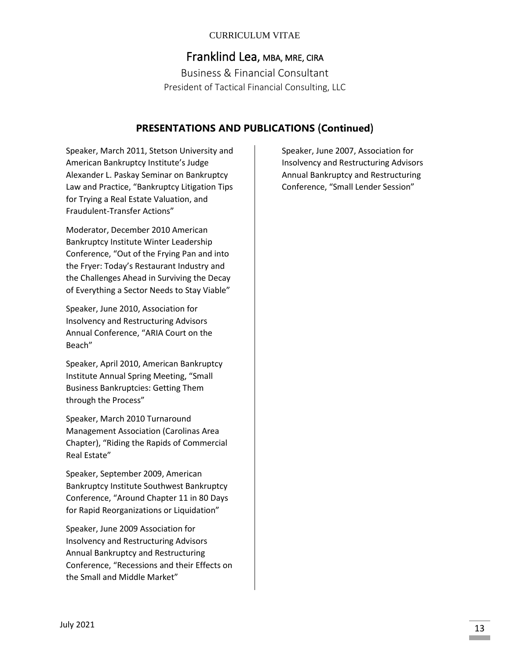# Franklind Lea, MBA, MRE, CIRA

Business & Financial Consultant President of Tactical Financial Consulting, LLC

### **PRESENTATIONS AND PUBLICATIONS** (**Continued**)

Speaker, March 2011, Stetson University and American Bankruptcy Institute's Judge Alexander L. Paskay Seminar on Bankruptcy Law and Practice, "Bankruptcy Litigation Tips for Trying a Real Estate Valuation, and Fraudulent-Transfer Actions"

Moderator, December 2010 American Bankruptcy Institute Winter Leadership Conference, "Out of the Frying Pan and into the Fryer: Today's Restaurant Industry and the Challenges Ahead in Surviving the Decay of Everything a Sector Needs to Stay Viable"

Speaker, June 2010, Association for Insolvency and Restructuring Advisors Annual Conference, "ARIA Court on the Beach"

Speaker, April 2010, American Bankruptcy Institute Annual Spring Meeting, "Small Business Bankruptcies: Getting Them through the Process"

Speaker, March 2010 Turnaround Management Association (Carolinas Area Chapter), "Riding the Rapids of Commercial Real Estate"

Speaker, September 2009, American Bankruptcy Institute Southwest Bankruptcy Conference, "Around Chapter 11 in 80 Days for Rapid Reorganizations or Liquidation"

Speaker, June 2009 Association for Insolvency and Restructuring Advisors Annual Bankruptcy and Restructuring Conference, "Recessions and their Effects on the Small and Middle Market"

Speaker, June 2007, Association for Insolvency and Restructuring Advisors Annual Bankruptcy and Restructuring Conference, "Small Lender Session"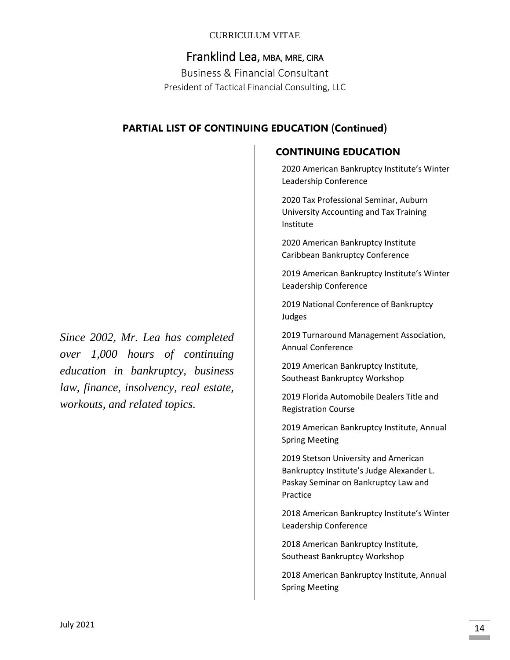Franklind Lea, MBA, MRE, CIRA Business & Financial Consultant President of Tactical Financial Consulting, LLC

## **PARTIAL LIST OF CONTINUING EDUCATION** (**Continued**)

**CONTINUING EDUCATION**

2020 American Bankruptcy Institute's Winter Leadership Conference

2020 Tax Professional Seminar, Auburn University Accounting and Tax Training Institute

2020 American Bankruptcy Institute Caribbean Bankruptcy Conference

2019 American Bankruptcy Institute's Winter Leadership Conference

2019 National Conference of Bankruptcy Judges

2019 Turnaround Management Association, Annual Conference

2019 American Bankruptcy Institute, Southeast Bankruptcy Workshop

2019 Florida Automobile Dealers Title and Registration Course

2019 American Bankruptcy Institute, Annual Spring Meeting

2019 Stetson University and American Bankruptcy Institute's Judge Alexander L. Paskay Seminar on Bankruptcy Law and Practice

2018 American Bankruptcy Institute's Winter Leadership Conference

2018 American Bankruptcy Institute, Southeast Bankruptcy Workshop

2018 American Bankruptcy Institute, Annual Spring Meeting

*Since 2002, Mr. Lea has completed over 1,000 hours of continuing education in bankruptcy, business law, finance, insolvency, real estate, workouts, and related topics.*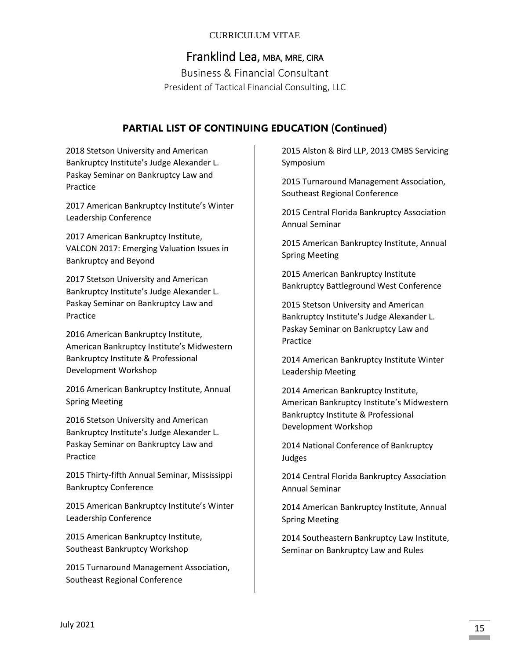# Franklind Lea, MBA, MRE, CIRA

Business & Financial Consultant President of Tactical Financial Consulting, LLC

### **PARTIAL LIST OF CONTINUING EDUCATION** (**Continued**)

2018 Stetson University and American Bankruptcy Institute's Judge Alexander L. Paskay Seminar on Bankruptcy Law and Practice

2017 American Bankruptcy Institute's Winter Leadership Conference

2017 American Bankruptcy Institute, VALCON 2017: Emerging Valuation Issues in Bankruptcy and Beyond

2017 Stetson University and American Bankruptcy Institute's Judge Alexander L. Paskay Seminar on Bankruptcy Law and Practice

2016 American Bankruptcy Institute, American Bankruptcy Institute's Midwestern Bankruptcy Institute & Professional Development Workshop

2016 American Bankruptcy Institute, Annual Spring Meeting

2016 Stetson University and American Bankruptcy Institute's Judge Alexander L. Paskay Seminar on Bankruptcy Law and Practice

2015 Thirty-fifth Annual Seminar, Mississippi Bankruptcy Conference

2015 American Bankruptcy Institute's Winter Leadership Conference

2015 American Bankruptcy Institute, Southeast Bankruptcy Workshop

2015 Turnaround Management Association, Southeast Regional Conference

2015 Alston & Bird LLP, 2013 CMBS Servicing Symposium

2015 Turnaround Management Association, Southeast Regional Conference

2015 Central Florida Bankruptcy Association Annual Seminar

2015 American Bankruptcy Institute, Annual Spring Meeting

2015 American Bankruptcy Institute Bankruptcy Battleground West Conference

2015 Stetson University and American Bankruptcy Institute's Judge Alexander L. Paskay Seminar on Bankruptcy Law and Practice

2014 American Bankruptcy Institute Winter Leadership Meeting

2014 American Bankruptcy Institute, American Bankruptcy Institute's Midwestern Bankruptcy Institute & Professional Development Workshop

2014 National Conference of Bankruptcy Judges

2014 Central Florida Bankruptcy Association Annual Seminar

2014 American Bankruptcy Institute, Annual Spring Meeting

2014 Southeastern Bankruptcy Law Institute, Seminar on Bankruptcy Law and Rules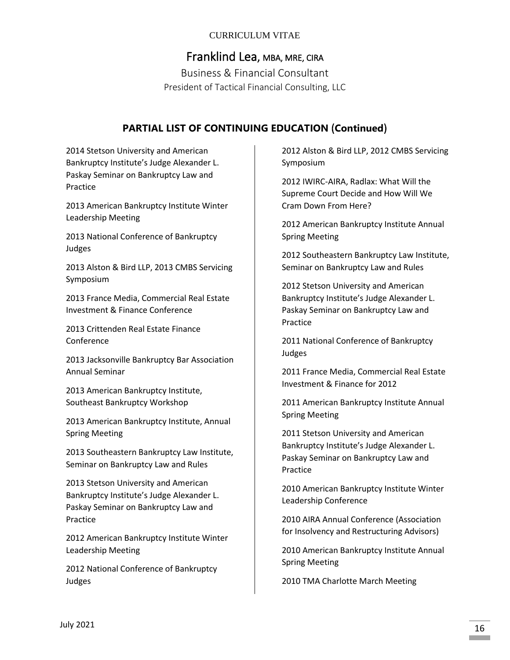# Franklind Lea, MBA, MRE, CIRA

Business & Financial Consultant President of Tactical Financial Consulting, LLC

# **PARTIAL LIST OF CONTINUING EDUCATION** (**Continued**)

2014 Stetson University and American Bankruptcy Institute's Judge Alexander L. Paskay Seminar on Bankruptcy Law and Practice

2013 American Bankruptcy Institute Winter Leadership Meeting

2013 National Conference of Bankruptcy Judges

2013 Alston & Bird LLP, 2013 CMBS Servicing Symposium

2013 France Media, Commercial Real Estate Investment & Finance Conference

2013 Crittenden Real Estate Finance Conference

2013 Jacksonville Bankruptcy Bar Association Annual Seminar

2013 American Bankruptcy Institute, Southeast Bankruptcy Workshop

2013 American Bankruptcy Institute, Annual Spring Meeting

2013 Southeastern Bankruptcy Law Institute, Seminar on Bankruptcy Law and Rules

2013 Stetson University and American Bankruptcy Institute's Judge Alexander L. Paskay Seminar on Bankruptcy Law and Practice

2012 American Bankruptcy Institute Winter Leadership Meeting

2012 National Conference of Bankruptcy Judges

2012 Alston & Bird LLP, 2012 CMBS Servicing Symposium

2012 IWIRC-AIRA, Radlax: What Will the Supreme Court Decide and How Will We Cram Down From Here?

2012 American Bankruptcy Institute Annual Spring Meeting

2012 Southeastern Bankruptcy Law Institute, Seminar on Bankruptcy Law and Rules

2012 Stetson University and American Bankruptcy Institute's Judge Alexander L. Paskay Seminar on Bankruptcy Law and Practice

2011 National Conference of Bankruptcy Judges

2011 France Media, Commercial Real Estate Investment & Finance for 2012

2011 American Bankruptcy Institute Annual Spring Meeting

2011 Stetson University and American Bankruptcy Institute's Judge Alexander L. Paskay Seminar on Bankruptcy Law and Practice

2010 American Bankruptcy Institute Winter Leadership Conference

2010 AIRA Annual Conference (Association for Insolvency and Restructuring Advisors)

2010 American Bankruptcy Institute Annual Spring Meeting

2010 TMA Charlotte March Meeting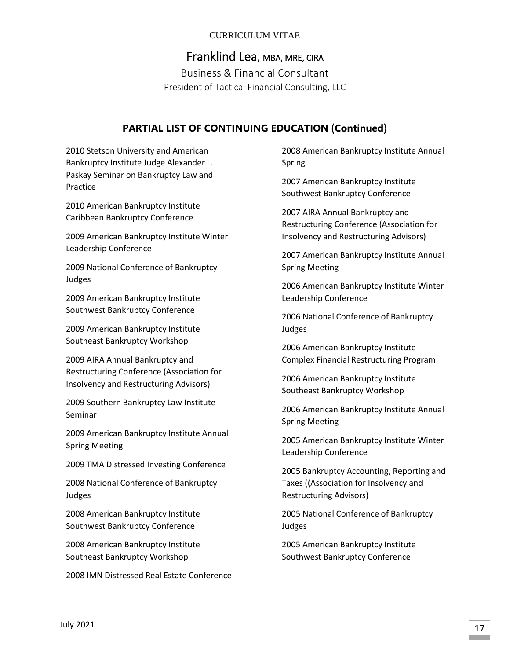# Franklind Lea, MBA, MRE, CIRA

Business & Financial Consultant President of Tactical Financial Consulting, LLC

### **PARTIAL LIST OF CONTINUING EDUCATION** (**Continued**)

2010 Stetson University and American Bankruptcy Institute Judge Alexander L. Paskay Seminar on Bankruptcy Law and Practice

2010 American Bankruptcy Institute Caribbean Bankruptcy Conference

2009 American Bankruptcy Institute Winter Leadership Conference

2009 National Conference of Bankruptcy Judges

2009 American Bankruptcy Institute Southwest Bankruptcy Conference

2009 American Bankruptcy Institute Southeast Bankruptcy Workshop

2009 AIRA Annual Bankruptcy and Restructuring Conference (Association for Insolvency and Restructuring Advisors)

2009 Southern Bankruptcy Law Institute Seminar

2009 American Bankruptcy Institute Annual Spring Meeting

2009 TMA Distressed Investing Conference

2008 National Conference of Bankruptcy Judges

2008 American Bankruptcy Institute Southwest Bankruptcy Conference

2008 American Bankruptcy Institute Southeast Bankruptcy Workshop

2008 IMN Distressed Real Estate Conference

2008 American Bankruptcy Institute Annual Spring

2007 American Bankruptcy Institute Southwest Bankruptcy Conference

2007 AIRA Annual Bankruptcy and Restructuring Conference (Association for Insolvency and Restructuring Advisors)

2007 American Bankruptcy Institute Annual Spring Meeting

2006 American Bankruptcy Institute Winter Leadership Conference

2006 National Conference of Bankruptcy Judges

2006 American Bankruptcy Institute Complex Financial Restructuring Program

2006 American Bankruptcy Institute Southeast Bankruptcy Workshop

2006 American Bankruptcy Institute Annual Spring Meeting

2005 American Bankruptcy Institute Winter Leadership Conference

2005 Bankruptcy Accounting, Reporting and Taxes ((Association for Insolvency and Restructuring Advisors)

2005 National Conference of Bankruptcy Judges

2005 American Bankruptcy Institute Southwest Bankruptcy Conference